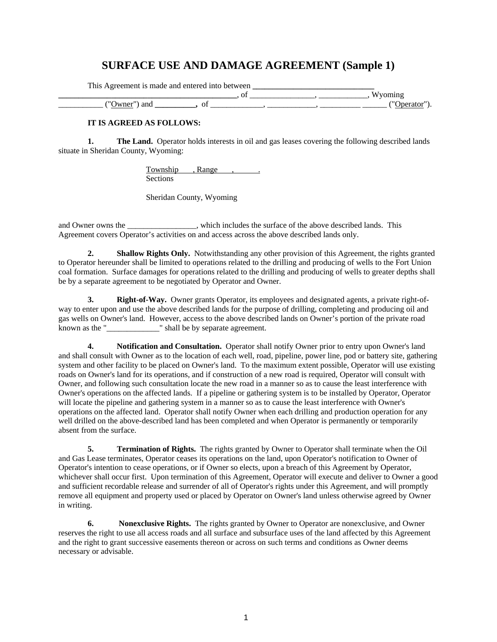## **SURFACE USE AND DAMAGE AGREEMENT (Sample 1)**

 This Agreement is made and entered into between **\_\_\_\_\_\_\_\_\_\_\_\_\_\_\_\_\_\_\_\_\_\_\_\_\_\_\_\_\_\_ \_\_\_\_\_\_\_\_\_\_\_\_\_\_\_\_\_\_\_\_\_\_\_\_\_\_\_\_\_\_\_\_\_\_\_\_\_\_\_\_\_\_\_\_**, of \_\_\_\_\_\_\_\_\_\_\_\_\_\_\_\_, \_\_\_\_\_\_\_\_\_\_\_\_, Wyoming \_\_\_\_\_\_\_\_\_\_\_ ("Owner") and **\_\_\_\_\_\_\_\_\_\_,** of \_\_\_\_\_\_\_\_\_\_\_\_\_, \_\_\_\_\_\_\_\_\_\_\_\_, \_\_\_\_\_\_\_\_\_\_ \_\_\_\_\_\_ ("Operator").

## **IT IS AGREED AS FOLLOWS:**

**1.** The Land. Operator holds interests in oil and gas leases covering the following described lands situate in Sheridan County, Wyoming:

> Township , Range , ... **Sections**

Sheridan County, Wyoming

and Owner owns the \_\_\_\_\_\_\_\_\_\_\_\_\_\_, which includes the surface of the above described lands. This Agreement covers Operator's activities on and access across the above described lands only.

**2.** Shallow Rights Only. Notwithstanding any other provision of this Agreement, the rights granted to Operator hereunder shall be limited to operations related to the drilling and producing of wells to the Fort Union coal formation. Surface damages for operations related to the drilling and producing of wells to greater depths shall be by a separate agreement to be negotiated by Operator and Owner.

**3. Right-of-Way.** Owner grants Operator, its employees and designated agents, a private right-ofway to enter upon and use the above described lands for the purpose of drilling, completing and producing oil and gas wells on Owner's land. However, access to the above described lands on Owner's portion of the private road known as the "\_\_\_\_\_\_\_\_\_\_\_\_\_" shall be by separate agreement.

**4. Notification and Consultation.** Operator shall notify Owner prior to entry upon Owner's land and shall consult with Owner as to the location of each well, road, pipeline, power line, pod or battery site, gathering system and other facility to be placed on Owner's land. To the maximum extent possible, Operator will use existing roads on Owner's land for its operations, and if construction of a new road is required, Operator will consult with Owner, and following such consultation locate the new road in a manner so as to cause the least interference with Owner's operations on the affected lands. If a pipeline or gathering system is to be installed by Operator, Operator will locate the pipeline and gathering system in a manner so as to cause the least interference with Owner's operations on the affected land. Operator shall notify Owner when each drilling and production operation for any well drilled on the above-described land has been completed and when Operator is permanently or temporarily absent from the surface.

**5. Termination of Rights.** The rights granted by Owner to Operator shall terminate when the Oil and Gas Lease terminates, Operator ceases its operations on the land, upon Operator's notification to Owner of Operator's intention to cease operations, or if Owner so elects, upon a breach of this Agreement by Operator, whichever shall occur first. Upon termination of this Agreement, Operator will execute and deliver to Owner a good and sufficient recordable release and surrender of all of Operator's rights under this Agreement, and will promptly remove all equipment and property used or placed by Operator on Owner's land unless otherwise agreed by Owner in writing.

**6. Nonexclusive Rights.** The rights granted by Owner to Operator are nonexclusive, and Owner reserves the right to use all access roads and all surface and subsurface uses of the land affected by this Agreement and the right to grant successive easements thereon or across on such terms and conditions as Owner deems necessary or advisable.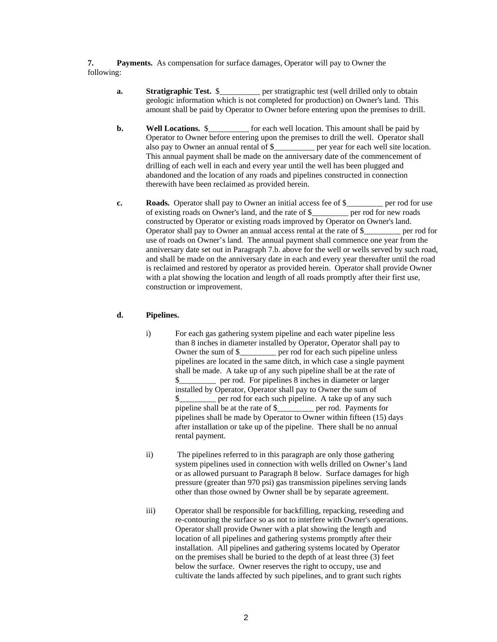**7. Payments.** As compensation for surface damages, Operator will pay to Owner the following:

- **a.** Stratigraphic Test. \$\_\_\_\_\_\_\_\_\_ per stratigraphic test (well drilled only to obtain geologic information which is not completed for production) on Owner's land. This amount shall be paid by Operator to Owner before entering upon the premises to drill.
- **b.** Well Locations. \$\_\_\_\_\_\_\_\_\_\_ for each well location. This amount shall be paid by Operator to Owner before entering upon the premises to drill the well. Operator shall also pay to Owner an annual rental of \$\_\_\_\_\_\_\_\_\_\_ per year for each well site location. This annual payment shall be made on the anniversary date of the commencement of drilling of each well in each and every year until the well has been plugged and abandoned and the location of any roads and pipelines constructed in connection therewith have been reclaimed as provided herein.
- **c. Roads.** Operator shall pay to Owner an initial access fee of \$  $per$  per rod for use of existing roads on Owner's land, and the rate of \$\_\_\_\_\_\_\_\_\_ per rod for new roads constructed by Operator or existing roads improved by Operator on Owner's land. Operator shall pay to Owner an annual access rental at the rate of \$\_\_\_\_\_\_\_\_\_ per rod for use of roads on Owner's land. The annual payment shall commence one year from the anniversary date set out in Paragraph 7.b. above for the well or wells served by such road, and shall be made on the anniversary date in each and every year thereafter until the road is reclaimed and restored by operator as provided herein. Operator shall provide Owner with a plat showing the location and length of all roads promptly after their first use, construction or improvement.

## **d. Pipelines.**

- i) For each gas gathering system pipeline and each water pipeline less than 8 inches in diameter installed by Operator, Operator shall pay to Owner the sum of \$\_\_\_\_\_\_\_\_\_ per rod for each such pipeline unless pipelines are located in the same ditch, in which case a single payment shall be made. A take up of any such pipeline shall be at the rate of \$\_\_\_\_\_\_\_\_\_ per rod. For pipelines 8 inches in diameter or larger installed by Operator, Operator shall pay to Owner the sum of \$ per rod for each such pipeline. A take up of any such pipeline shall be at the rate of \$\_\_\_\_\_\_\_\_\_ per rod. Payments for pipelines shall be made by Operator to Owner within fifteen (15) days after installation or take up of the pipeline. There shall be no annual rental payment.
- ii) The pipelines referred to in this paragraph are only those gathering system pipelines used in connection with wells drilled on Owner's land or as allowed pursuant to Paragraph 8 below. Surface damages for high pressure (greater than 970 psi) gas transmission pipelines serving lands other than those owned by Owner shall be by separate agreement.
- iii) Operator shall be responsible for backfilling, repacking, reseeding and re-contouring the surface so as not to interfere with Owner's operations. Operator shall provide Owner with a plat showing the length and location of all pipelines and gathering systems promptly after their installation. All pipelines and gathering systems located by Operator on the premises shall be buried to the depth of at least three (3) feet below the surface. Owner reserves the right to occupy, use and cultivate the lands affected by such pipelines, and to grant such rights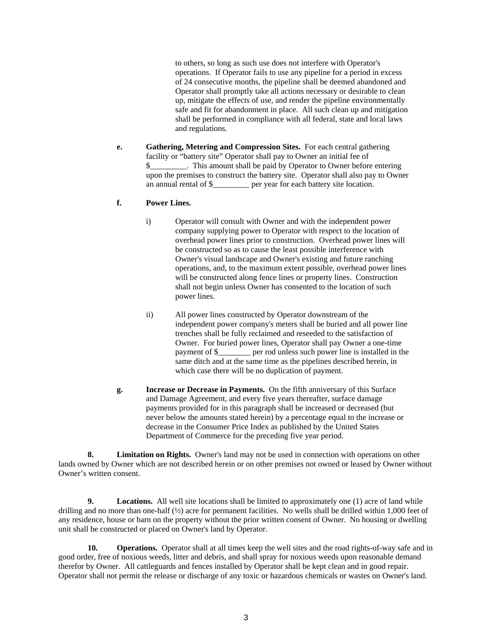to others, so long as such use does not interfere with Operator's operations. If Operator fails to use any pipeline for a period in excess of 24 consecutive months, the pipeline shall be deemed abandoned and Operator shall promptly take all actions necessary or desirable to clean up, mitigate the effects of use, and render the pipeline environmentally safe and fit for abandonment in place. All such clean up and mitigation shall be performed in compliance with all federal, state and local laws and regulations.

**e. Gathering, Metering and Compression Sites.** For each central gathering facility or "battery site" Operator shall pay to Owner an initial fee of \$ This amount shall be paid by Operator to Owner before entering upon the premises to construct the battery site. Operator shall also pay to Owner an annual rental of \$\_\_\_\_\_\_\_\_\_ per year for each battery site location.

## **f. Power Lines.**

- i) Operator will consult with Owner and with the independent power company supplying power to Operator with respect to the location of overhead power lines prior to construction. Overhead power lines will be constructed so as to cause the least possible interference with Owner's visual landscape and Owner's existing and future ranching operations, and, to the maximum extent possible, overhead power lines will be constructed along fence lines or property lines. Construction shall not begin unless Owner has consented to the location of such power lines.
- ii) All power lines constructed by Operator downstream of the independent power company's meters shall be buried and all power line trenches shall be fully reclaimed and reseeded to the satisfaction of Owner. For buried power lines, Operator shall pay Owner a one-time payment of \$\_\_\_\_\_\_\_\_ per rod unless such power line is installed in the same ditch and at the same time as the pipelines described herein, in which case there will be no duplication of payment.
- **g. Increase or Decrease in Payments.** On the fifth anniversary of this Surface and Damage Agreement, and every five years thereafter, surface damage payments provided for in this paragraph shall be increased or decreased (but never below the amounts stated herein) by a percentage equal to the increase or decrease in the Consumer Price Index as published by the United States Department of Commerce for the preceding five year period.

**8. Limitation on Rights.** Owner's land may not be used in connection with operations on other lands owned by Owner which are not described herein or on other premises not owned or leased by Owner without Owner's written consent.

**9.** Locations. All well site locations shall be limited to approximately one (1) acre of land while drilling and no more than one-half (½) acre for permanent facilities. No wells shall be drilled within 1,000 feet of any residence, house or barn on the property without the prior written consent of Owner. No housing or dwelling unit shall be constructed or placed on Owner's land by Operator.

**10. Operations.** Operator shall at all times keep the well sites and the road rights-of-way safe and in good order, free of noxious weeds, litter and debris, and shall spray for noxious weeds upon reasonable demand therefor by Owner. All cattleguards and fences installed by Operator shall be kept clean and in good repair. Operator shall not permit the release or discharge of any toxic or hazardous chemicals or wastes on Owner's land.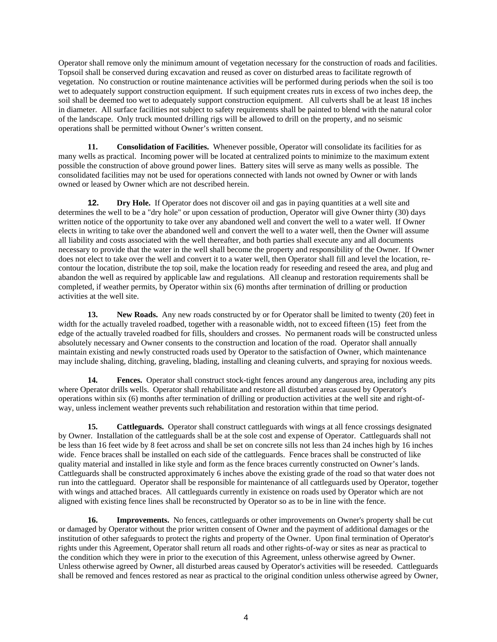Operator shall remove only the minimum amount of vegetation necessary for the construction of roads and facilities. Topsoil shall be conserved during excavation and reused as cover on disturbed areas to facilitate regrowth of vegetation. No construction or routine maintenance activities will be performed during periods when the soil is too wet to adequately support construction equipment. If such equipment creates ruts in excess of two inches deep, the soil shall be deemed too wet to adequately support construction equipment. All culverts shall be at least 18 inches in diameter. All surface facilities not subject to safety requirements shall be painted to blend with the natural color of the landscape. Only truck mounted drilling rigs will be allowed to drill on the property, and no seismic operations shall be permitted without Owner's written consent.

**11. Consolidation of Facilities.** Whenever possible, Operator will consolidate its facilities for as many wells as practical. Incoming power will be located at centralized points to minimize to the maximum extent possible the construction of above ground power lines. Battery sites will serve as many wells as possible. The consolidated facilities may not be used for operations connected with lands not owned by Owner or with lands owned or leased by Owner which are not described herein.

**12. Dry Hole.** If Operator does not discover oil and gas in paying quantities at a well site and determines the well to be a "dry hole" or upon cessation of production, Operator will give Owner thirty (30) days written notice of the opportunity to take over any abandoned well and convert the well to a water well. If Owner elects in writing to take over the abandoned well and convert the well to a water well, then the Owner will assume all liability and costs associated with the well thereafter, and both parties shall execute any and all documents necessary to provide that the water in the well shall become the property and responsibility of the Owner. If Owner does not elect to take over the well and convert it to a water well, then Operator shall fill and level the location, recontour the location, distribute the top soil, make the location ready for reseeding and reseed the area, and plug and abandon the well as required by applicable law and regulations. All cleanup and restoration requirements shall be completed, if weather permits, by Operator within six (6) months after termination of drilling or production activities at the well site.

**13.** New Roads. Any new roads constructed by or for Operator shall be limited to twenty (20) feet in width for the actually traveled roadbed, together with a reasonable width, not to exceed fifteen (15) feet from the edge of the actually traveled roadbed for fills, shoulders and crosses. No permanent roads will be constructed unless absolutely necessary and Owner consents to the construction and location of the road. Operator shall annually maintain existing and newly constructed roads used by Operator to the satisfaction of Owner, which maintenance may include shaling, ditching, graveling, blading, installing and cleaning culverts, and spraying for noxious weeds.

**14. Fences.** Operator shall construct stock-tight fences around any dangerous area, including any pits where Operator drills wells. Operator shall rehabilitate and restore all disturbed areas caused by Operator's operations within six (6) months after termination of drilling or production activities at the well site and right-ofway, unless inclement weather prevents such rehabilitation and restoration within that time period.

**15.** Cattleguards. Operator shall construct cattleguards with wings at all fence crossings designated by Owner. Installation of the cattleguards shall be at the sole cost and expense of Operator. Cattleguards shall not be less than 16 feet wide by 8 feet across and shall be set on concrete sills not less than 24 inches high by 16 inches wide. Fence braces shall be installed on each side of the cattleguards. Fence braces shall be constructed of like quality material and installed in like style and form as the fence braces currently constructed on Owner's lands. Cattleguards shall be constructed approximately 6 inches above the existing grade of the road so that water does not run into the cattleguard. Operator shall be responsible for maintenance of all cattleguards used by Operator, together with wings and attached braces. All cattleguards currently in existence on roads used by Operator which are not aligned with existing fence lines shall be reconstructed by Operator so as to be in line with the fence.

**16. Improvements.** No fences, cattleguards or other improvements on Owner's property shall be cut or damaged by Operator without the prior written consent of Owner and the payment of additional damages or the institution of other safeguards to protect the rights and property of the Owner. Upon final termination of Operator's rights under this Agreement, Operator shall return all roads and other rights-of-way or sites as near as practical to the condition which they were in prior to the execution of this Agreement, unless otherwise agreed by Owner. Unless otherwise agreed by Owner, all disturbed areas caused by Operator's activities will be reseeded. Cattleguards shall be removed and fences restored as near as practical to the original condition unless otherwise agreed by Owner,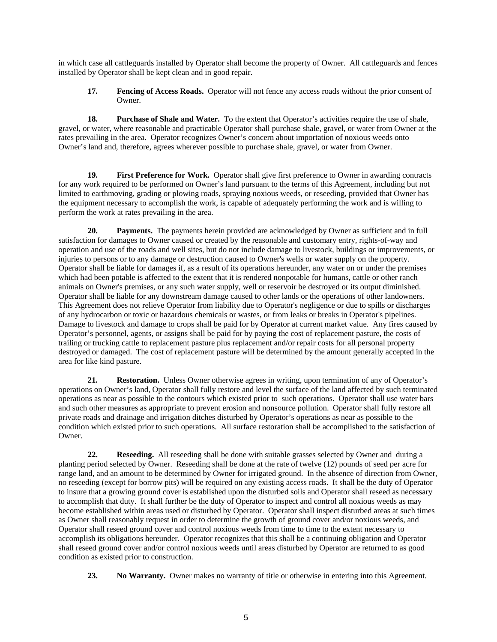in which case all cattleguards installed by Operator shall become the property of Owner. All cattleguards and fences installed by Operator shall be kept clean and in good repair.

**17. Fencing of Access Roads.** Operator will not fence any access roads without the prior consent of Owner.

**18. Purchase of Shale and Water.** To the extent that Operator's activities require the use of shale, gravel, or water, where reasonable and practicable Operator shall purchase shale, gravel, or water from Owner at the rates prevailing in the area. Operator recognizes Owner's concern about importation of noxious weeds onto Owner's land and, therefore, agrees wherever possible to purchase shale, gravel, or water from Owner.

**19. First Preference for Work.** Operator shall give first preference to Owner in awarding contracts for any work required to be performed on Owner's land pursuant to the terms of this Agreement, including but not limited to earthmoving, grading or plowing roads, spraying noxious weeds, or reseeding, provided that Owner has the equipment necessary to accomplish the work, is capable of adequately performing the work and is willing to perform the work at rates prevailing in the area.

**20. Payments.** The payments herein provided are acknowledged by Owner as sufficient and in full satisfaction for damages to Owner caused or created by the reasonable and customary entry, rights-of-way and operation and use of the roads and well sites, but do not include damage to livestock, buildings or improvements, or injuries to persons or to any damage or destruction caused to Owner's wells or water supply on the property. Operator shall be liable for damages if, as a result of its operations hereunder, any water on or under the premises which had been potable is affected to the extent that it is rendered nonpotable for humans, cattle or other ranch animals on Owner's premises, or any such water supply, well or reservoir be destroyed or its output diminished. Operator shall be liable for any downstream damage caused to other lands or the operations of other landowners. This Agreement does not relieve Operator from liability due to Operator's negligence or due to spills or discharges of any hydrocarbon or toxic or hazardous chemicals or wastes, or from leaks or breaks in Operator's pipelines. Damage to livestock and damage to crops shall be paid for by Operator at current market value. Any fires caused by Operator's personnel, agents, or assigns shall be paid for by paying the cost of replacement pasture, the costs of trailing or trucking cattle to replacement pasture plus replacement and/or repair costs for all personal property destroyed or damaged. The cost of replacement pasture will be determined by the amount generally accepted in the area for like kind pasture.

**21. Restoration.** Unless Owner otherwise agrees in writing, upon termination of any of Operator's operations on Owner's land, Operator shall fully restore and level the surface of the land affected by such terminated operations as near as possible to the contours which existed prior to such operations. Operator shall use water bars and such other measures as appropriate to prevent erosion and nonsource pollution. Operator shall fully restore all private roads and drainage and irrigation ditches disturbed by Operator's operations as near as possible to the condition which existed prior to such operations. All surface restoration shall be accomplished to the satisfaction of Owner.

**22. Reseeding.** All reseeding shall be done with suitable grasses selected by Owner and during a planting period selected by Owner. Reseeding shall be done at the rate of twelve (12) pounds of seed per acre for range land, and an amount to be determined by Owner for irrigated ground. In the absence of direction from Owner, no reseeding (except for borrow pits) will be required on any existing access roads. It shall be the duty of Operator to insure that a growing ground cover is established upon the disturbed soils and Operator shall reseed as necessary to accomplish that duty. It shall further be the duty of Operator to inspect and control all noxious weeds as may become established within areas used or disturbed by Operator. Operator shall inspect disturbed areas at such times as Owner shall reasonably request in order to determine the growth of ground cover and/or noxious weeds, and Operator shall reseed ground cover and control noxious weeds from time to time to the extent necessary to accomplish its obligations hereunder. Operator recognizes that this shall be a continuing obligation and Operator shall reseed ground cover and/or control noxious weeds until areas disturbed by Operator are returned to as good condition as existed prior to construction.

**23.** No Warranty. Owner makes no warranty of title or otherwise in entering into this Agreement.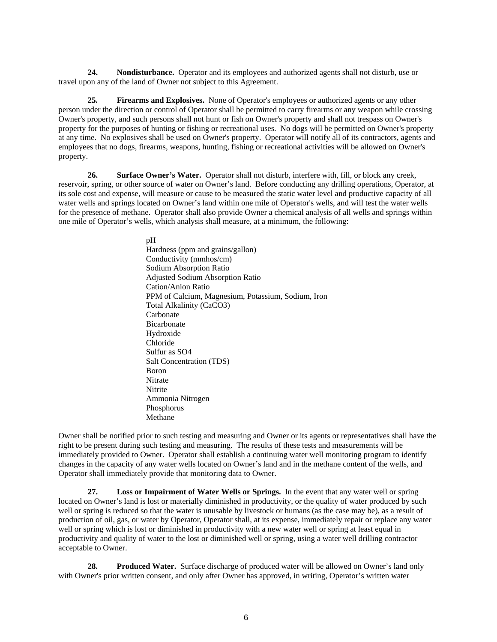**24. Nondisturbance.** Operator and its employees and authorized agents shall not disturb, use or travel upon any of the land of Owner not subject to this Agreement.

**25. Firearms and Explosives.** None of Operator's employees or authorized agents or any other person under the direction or control of Operator shall be permitted to carry firearms or any weapon while crossing Owner's property, and such persons shall not hunt or fish on Owner's property and shall not trespass on Owner's property for the purposes of hunting or fishing or recreational uses. No dogs will be permitted on Owner's property at any time. No explosives shall be used on Owner's property. Operator will notify all of its contractors, agents and employees that no dogs, firearms, weapons, hunting, fishing or recreational activities will be allowed on Owner's property.

**26. Surface Owner's Water.** Operator shall not disturb, interfere with, fill, or block any creek, reservoir, spring, or other source of water on Owner's land. Before conducting any drilling operations, Operator, at its sole cost and expense, will measure or cause to be measured the static water level and productive capacity of all water wells and springs located on Owner's land within one mile of Operator's wells, and will test the water wells for the presence of methane. Operator shall also provide Owner a chemical analysis of all wells and springs within one mile of Operator's wells, which analysis shall measure, at a minimum, the following:

> pH Hardness (ppm and grains/gallon) Conductivity (mmhos/cm) Sodium Absorption Ratio Adjusted Sodium Absorption Ratio Cation/Anion Ratio PPM of Calcium, Magnesium, Potassium, Sodium, Iron Total Alkalinity (CaCO3) Carbonate Bicarbonate Hydroxide Chloride Sulfur as SO4 Salt Concentration (TDS) Boron Nitrate Nitrite Ammonia Nitrogen Phosphorus Methane

Owner shall be notified prior to such testing and measuring and Owner or its agents or representatives shall have the right to be present during such testing and measuring. The results of these tests and measurements will be immediately provided to Owner. Operator shall establish a continuing water well monitoring program to identify changes in the capacity of any water wells located on Owner's land and in the methane content of the wells, and Operator shall immediately provide that monitoring data to Owner.

**27. Loss or Impairment of Water Wells or Springs.** In the event that any water well or spring located on Owner's land is lost or materially diminished in productivity, or the quality of water produced by such well or spring is reduced so that the water is unusable by livestock or humans (as the case may be), as a result of production of oil, gas, or water by Operator, Operator shall, at its expense, immediately repair or replace any water well or spring which is lost or diminished in productivity with a new water well or spring at least equal in productivity and quality of water to the lost or diminished well or spring, using a water well drilling contractor acceptable to Owner.

**28. Produced Water.** Surface discharge of produced water will be allowed on Owner's land only with Owner's prior written consent, and only after Owner has approved, in writing, Operator's written water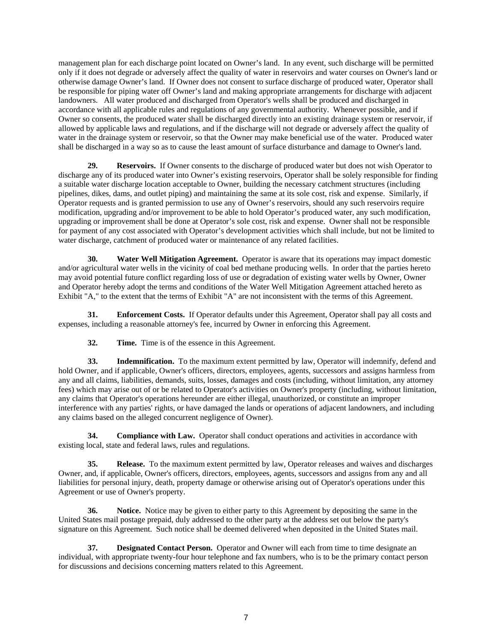management plan for each discharge point located on Owner's land. In any event, such discharge will be permitted only if it does not degrade or adversely affect the quality of water in reservoirs and water courses on Owner's land or otherwise damage Owner's land. If Owner does not consent to surface discharge of produced water, Operator shall be responsible for piping water off Owner's land and making appropriate arrangements for discharge with adjacent landowners. All water produced and discharged from Operator's wells shall be produced and discharged in accordance with all applicable rules and regulations of any governmental authority. Whenever possible, and if Owner so consents, the produced water shall be discharged directly into an existing drainage system or reservoir, if allowed by applicable laws and regulations, and if the discharge will not degrade or adversely affect the quality of water in the drainage system or reservoir, so that the Owner may make beneficial use of the water. Produced water shall be discharged in a way so as to cause the least amount of surface disturbance and damage to Owner's land.

**29. Reservoirs.** If Owner consents to the discharge of produced water but does not wish Operator to discharge any of its produced water into Owner's existing reservoirs, Operator shall be solely responsible for finding a suitable water discharge location acceptable to Owner, building the necessary catchment structures (including pipelines, dikes, dams, and outlet piping) and maintaining the same at its sole cost, risk and expense. Similarly, if Operator requests and is granted permission to use any of Owner's reservoirs, should any such reservoirs require modification, upgrading and/or improvement to be able to hold Operator's produced water, any such modification, upgrading or improvement shall be done at Operator's sole cost, risk and expense. Owner shall not be responsible for payment of any cost associated with Operator's development activities which shall include, but not be limited to water discharge, catchment of produced water or maintenance of any related facilities.

**30. Water Well Mitigation Agreement.** Operator is aware that its operations may impact domestic and/or agricultural water wells in the vicinity of coal bed methane producing wells. In order that the parties hereto may avoid potential future conflict regarding loss of use or degradation of existing water wells by Owner, Owner and Operator hereby adopt the terms and conditions of the Water Well Mitigation Agreement attached hereto as Exhibit "A," to the extent that the terms of Exhibit "A" are not inconsistent with the terms of this Agreement.

**31. Enforcement Costs.** If Operator defaults under this Agreement, Operator shall pay all costs and expenses, including a reasonable attorney's fee, incurred by Owner in enforcing this Agreement.

**32. Time.** Time is of the essence in this Agreement.

**33.** Indemnification. To the maximum extent permitted by law, Operator will indemnify, defend and hold Owner, and if applicable, Owner's officers, directors, employees, agents, successors and assigns harmless from any and all claims, liabilities, demands, suits, losses, damages and costs (including, without limitation, any attorney fees) which may arise out of or be related to Operator's activities on Owner's property (including, without limitation, any claims that Operator's operations hereunder are either illegal, unauthorized, or constitute an improper interference with any parties' rights, or have damaged the lands or operations of adjacent landowners, and including any claims based on the alleged concurrent negligence of Owner).

**34.** Compliance with Law. Operator shall conduct operations and activities in accordance with existing local, state and federal laws, rules and regulations.

**35.** Release. To the maximum extent permitted by law, Operator releases and waives and discharges Owner, and, if applicable, Owner's officers, directors, employees, agents, successors and assigns from any and all liabilities for personal injury, death, property damage or otherwise arising out of Operator's operations under this Agreement or use of Owner's property.

**36. Notice.** Notice may be given to either party to this Agreement by depositing the same in the United States mail postage prepaid, duly addressed to the other party at the address set out below the party's signature on this Agreement. Such notice shall be deemed delivered when deposited in the United States mail.

**37. Designated Contact Person.** Operator and Owner will each from time to time designate an individual, with appropriate twenty-four hour telephone and fax numbers, who is to be the primary contact person for discussions and decisions concerning matters related to this Agreement.